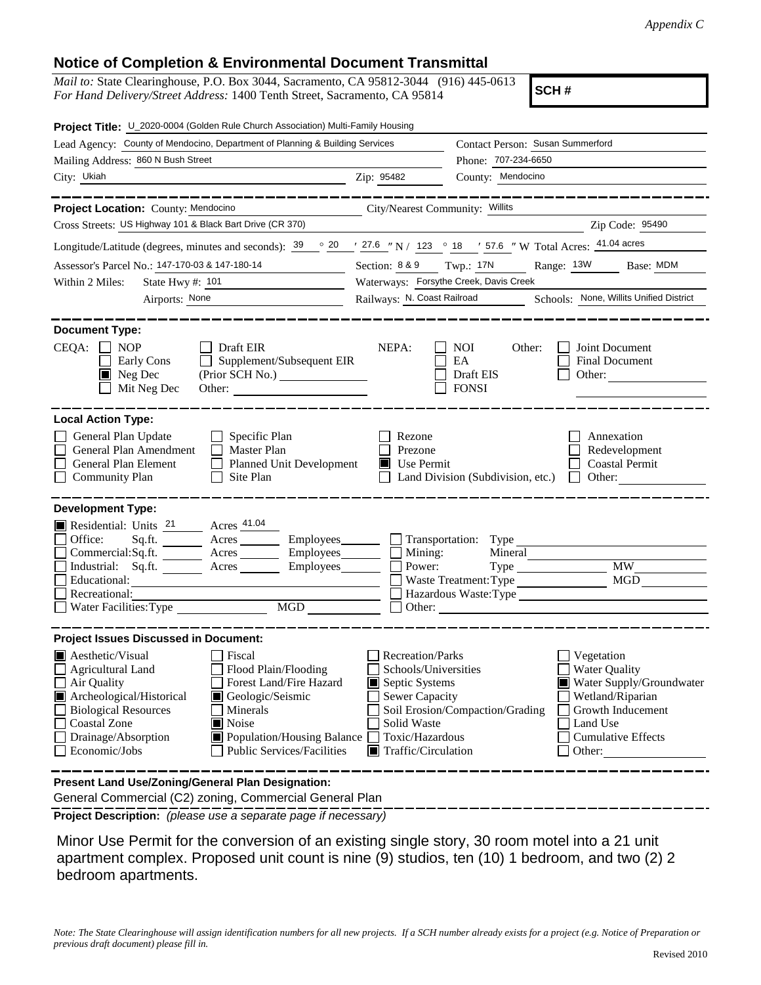## **Notice of Completion & Environmental Document Transmittal**

*Mail to:* State Clearinghouse, P.O. Box 3044, Sacramento, CA 95812-3044 (916) 445-0613 *For Hand Delivery/Street Address:* 1400 Tenth Street, Sacramento, CA 95814

**SCH #**

| Project Title: U_2020-0004 (Golden Rule Church Association) Multi-Family Housing                                                                                                                                                                                                                                                                                       |                                                                                                                                                                                                                                                                                                                                                              |  |  |
|------------------------------------------------------------------------------------------------------------------------------------------------------------------------------------------------------------------------------------------------------------------------------------------------------------------------------------------------------------------------|--------------------------------------------------------------------------------------------------------------------------------------------------------------------------------------------------------------------------------------------------------------------------------------------------------------------------------------------------------------|--|--|
| Lead Agency: County of Mendocino, Department of Planning & Building Services                                                                                                                                                                                                                                                                                           | Contact Person: Susan Summerford                                                                                                                                                                                                                                                                                                                             |  |  |
| Mailing Address: 860 N Bush Street                                                                                                                                                                                                                                                                                                                                     | Phone: 707-234-6650                                                                                                                                                                                                                                                                                                                                          |  |  |
| City: Ukiah                                                                                                                                                                                                                                                                                                                                                            | County: Mendocino<br>Zip: 95482                                                                                                                                                                                                                                                                                                                              |  |  |
| Project Location: County: Mendocino                                                                                                                                                                                                                                                                                                                                    | City/Nearest Community: Willits                                                                                                                                                                                                                                                                                                                              |  |  |
| Cross Streets: US Highway 101 & Black Bart Drive (CR 370)                                                                                                                                                                                                                                                                                                              | Zip Code: 95490                                                                                                                                                                                                                                                                                                                                              |  |  |
|                                                                                                                                                                                                                                                                                                                                                                        | Longitude/Latitude (degrees, minutes and seconds): $\frac{39}{9}$ $\frac{20}{7}$ $\frac{27.6}{7}$ N / 123 $\degree$ 18 $\degree$ 57.6 "W Total Acres: $\frac{41.04 \text{ acres}}{21}$                                                                                                                                                                       |  |  |
| Assessor's Parcel No.: 147-170-03 & 147-180-14                                                                                                                                                                                                                                                                                                                         | Range: 13W<br>Section: 8 & 9 Twp.: 17N<br>Base: MDM                                                                                                                                                                                                                                                                                                          |  |  |
| Within 2 Miles:<br>State Hwy #: 101<br><u> 1990 - Johann Barbara, martxa al</u>                                                                                                                                                                                                                                                                                        | Waterways: Forsythe Creek, Davis Creek                                                                                                                                                                                                                                                                                                                       |  |  |
| Airports: None<br><u> 1989 - Andrea State Barbara, política establece</u>                                                                                                                                                                                                                                                                                              | Railways: N. Coast Railroad<br>Schools: None, Willits Unified District                                                                                                                                                                                                                                                                                       |  |  |
| <b>Document Type:</b><br>CEQA:<br><b>NOP</b><br>Draft EIR<br>Supplement/Subsequent EIR<br>Early Cons<br>$\blacksquare$ Neg Dec<br>(Prior SCH No.)<br>Mit Neg Dec<br>Other:                                                                                                                                                                                             | NEPA:<br><b>NOI</b><br>Other:<br>Joint Document<br>EA<br>Final Document<br>Draft EIS<br>Other:<br><b>FONSI</b>                                                                                                                                                                                                                                               |  |  |
| <b>Local Action Type:</b><br>General Plan Update<br>Specific Plan<br>General Plan Amendment<br>Master Plan<br>General Plan Element<br><b>Planned Unit Development</b><br>$\mathsf{L}$<br><b>Community Plan</b><br>Site Plan                                                                                                                                            | Rezone<br>Annexation<br>Prezone<br>Redevelopment<br>$\blacksquare$ Use Permit<br><b>Coastal Permit</b><br>Land Division (Subdivision, etc.)<br>Other:<br>$\mathbf{I}$                                                                                                                                                                                        |  |  |
| <b>Development Type:</b>                                                                                                                                                                                                                                                                                                                                               |                                                                                                                                                                                                                                                                                                                                                              |  |  |
| Residential: Units 21 Acres 41.04<br>Office:<br>Sq.ft.<br>Acres<br>Commercial:Sq.ft. ________ Acres _______<br>Industrial: Sq.ft. _______ Acres ______<br>Educational:<br>Recreational:<br>MGD<br>Water Facilities: Type                                                                                                                                               | Employees_______<br>$\Box$ Transportation: Type<br>Employees________<br>Mining:<br>Mineral<br><b>MW</b><br>Power:<br>Employees_______<br>MGD<br>Waste Treatment: Type<br>Hazardous Waste:Type<br>Other:                                                                                                                                                      |  |  |
| <b>Project Issues Discussed in Document:</b>                                                                                                                                                                                                                                                                                                                           |                                                                                                                                                                                                                                                                                                                                                              |  |  |
| $\blacksquare$ Aesthetic/Visual<br>Fiscal<br>Flood Plain/Flooding<br>Agricultural Land<br>Forest Land/Fire Hazard<br>Air Quality<br>Archeological/Historical<br>Geologic/Seismic<br><b>Biological Resources</b><br>Minerals<br>Noise<br><b>Coastal Zone</b><br>Drainage/Absorption<br>Population/Housing Balance<br>Economic/Jobs<br><b>Public Services/Facilities</b> | <b>Recreation/Parks</b><br>Vegetation<br>Schools/Universities<br><b>Water Quality</b><br>Water Supply/Groundwater<br>Septic Systems<br>Sewer Capacity<br>Wetland/Riparian<br>Soil Erosion/Compaction/Grading<br>Growth Inducement<br>Solid Waste<br>Land Use<br>Toxic/Hazardous<br><b>Cumulative Effects</b><br>$\blacksquare$ Traffic/Circulation<br>Other: |  |  |
| Present Land Use/Zoning/General Plan Designation:<br>General Commercial (C2) zoning, Commercial General Plan                                                                                                                                                                                                                                                           |                                                                                                                                                                                                                                                                                                                                                              |  |  |

**Project Description:** *(please use a separate page if necessary)*

 Minor Use Permit for the conversion of an existing single story, 30 room motel into a 21 unit apartment complex. Proposed unit count is nine (9) studios, ten (10) 1 bedroom, and two (2) 2 bedroom apartments.